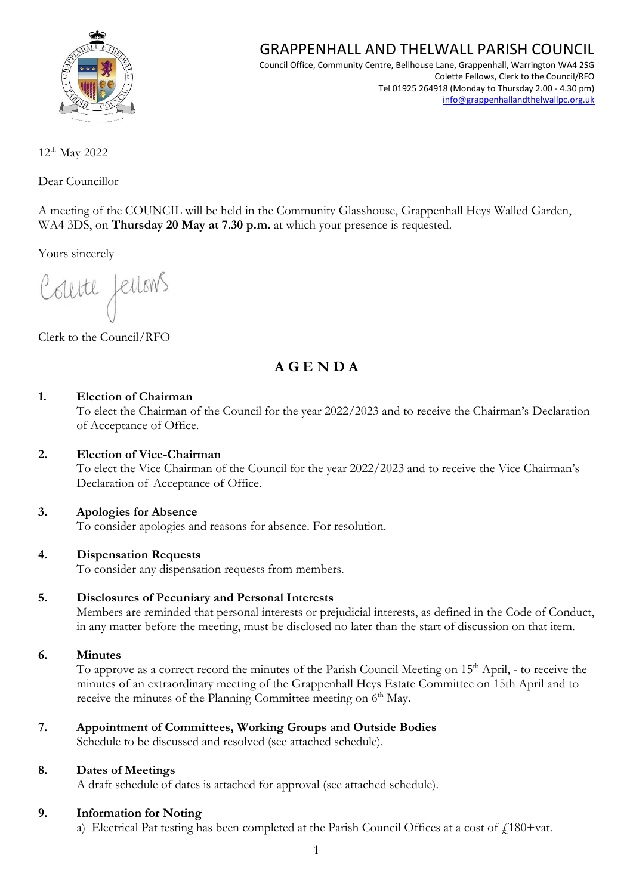

## GRAPPENHALL AND THELWALL PARISH COUNCIL

Council Office, Community Centre, Bellhouse Lane, Grappenhall, Warrington WA4 2SG Colette Fellows, Clerk to the Council/RFO Tel 01925 264918 (Monday to Thursday 2.00 - 4.30 pm) [info@grappenhallandthelwallpc.org.uk](mailto:info@grappenhallandthelwallpc.org.uk)

12 th May 2022

Dear Councillor

A meeting of the COUNCIL will be held in the Community Glasshouse, Grappenhall Heys Walled Garden, WA4 3DS, on **Thursday 20 May at 7.30 p.m.** at which your presence is requested.

Yours sincerely

Courte feilons

Clerk to the Council/RFO

## **A G E N D A**

#### **1. Election of Chairman**

To elect the Chairman of the Council for the year 2022/2023 and to receive the Chairman's Declaration of Acceptance of Office.

#### **2. Election of Vice-Chairman**

To elect the Vice Chairman of the Council for the year 2022/2023 and to receive the Vice Chairman's Declaration of Acceptance of Office.

#### **3. Apologies for Absence**

To consider apologies and reasons for absence. For resolution.

#### **4. Dispensation Requests**

To consider any dispensation requests from members.

#### **5. Disclosures of Pecuniary and Personal Interests**

Members are reminded that personal interests or prejudicial interests, as defined in the Code of Conduct, in any matter before the meeting, must be disclosed no later than the start of discussion on that item.

#### **6. Minutes**

To approve as a correct record the minutes of the Parish Council Meeting on 15<sup>th</sup> April, - to receive the minutes of an extraordinary meeting of the Grappenhall Heys Estate Committee on 15th April and to receive the minutes of the Planning Committee meeting on 6<sup>th</sup> May.

### **7. Appointment of Committees, Working Groups and Outside Bodies**

Schedule to be discussed and resolved (see attached schedule).

#### **8. Dates of Meetings**

A draft schedule of dates is attached for approval (see attached schedule).

#### **9. Information for Noting**

a) Electrical Pat testing has been completed at the Parish Council Offices at a cost of  $f$ 180+vat.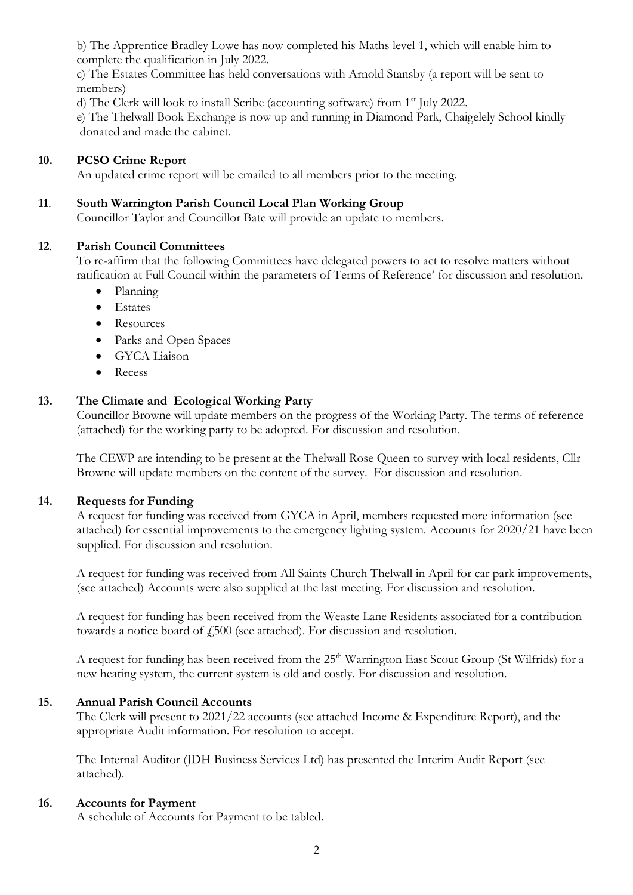b) The Apprentice Bradley Lowe has now completed his Maths level 1, which will enable him to complete the qualification in July 2022.

c) The Estates Committee has held conversations with Arnold Stansby (a report will be sent to members)

d) The Clerk will look to install Scribe (accounting software) from 1<sup>st</sup> July 2022.

e) The Thelwall Book Exchange is now up and running in Diamond Park, Chaigelely School kindly donated and made the cabinet.

#### **10. PCSO Crime Report**

An updated crime report will be emailed to all members prior to the meeting.

#### **11**. **South Warrington Parish Council Local Plan Working Group**

Councillor Taylor and Councillor Bate will provide an update to members.

#### **12**. **Parish Council Committees**

To re-affirm that the following Committees have delegated powers to act to resolve matters without ratification at Full Council within the parameters of Terms of Reference' for discussion and resolution.

- Planning
- Estates
- Resources
- Parks and Open Spaces
- GYCA Liaison
- Recess

#### **13. The Climate and Ecological Working Party**

Councillor Browne will update members on the progress of the Working Party. The terms of reference (attached) for the working party to be adopted. For discussion and resolution.

The CEWP are intending to be present at the Thelwall Rose Queen to survey with local residents, Cllr Browne will update members on the content of the survey. For discussion and resolution.

#### **14. Requests for Funding**

A request for funding was received from GYCA in April, members requested more information (see attached) for essential improvements to the emergency lighting system. Accounts for 2020/21 have been supplied. For discussion and resolution.

A request for funding was received from All Saints Church Thelwall in April for car park improvements, (see attached) Accounts were also supplied at the last meeting. For discussion and resolution.

A request for funding has been received from the Weaste Lane Residents associated for a contribution towards a notice board of  $f_{1500}$  (see attached). For discussion and resolution.

A request for funding has been received from the 25<sup>th</sup> Warrington East Scout Group (St Wilfrids) for a new heating system, the current system is old and costly. For discussion and resolution.

#### **15. Annual Parish Council Accounts**

The Clerk will present to 2021/22 accounts (see attached Income & Expenditure Report), and the appropriate Audit information. For resolution to accept.

The Internal Auditor (JDH Business Services Ltd) has presented the Interim Audit Report (see attached).

#### **16. Accounts for Payment**

A schedule of Accounts for Payment to be tabled.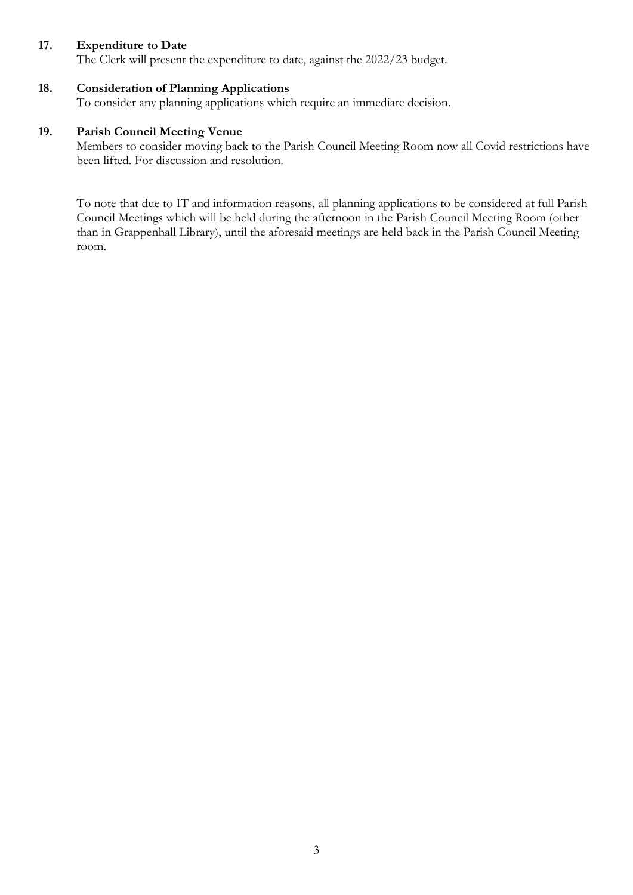#### **17. Expenditure to Date**

The Clerk will present the expenditure to date, against the 2022/23 budget.

#### **18. Consideration of Planning Applications**

To consider any planning applications which require an immediate decision.

#### **19. Parish Council Meeting Venue**

Members to consider moving back to the Parish Council Meeting Room now all Covid restrictions have been lifted. For discussion and resolution.

To note that due to IT and information reasons, all planning applications to be considered at full Parish Council Meetings which will be held during the afternoon in the Parish Council Meeting Room (other than in Grappenhall Library), until the aforesaid meetings are held back in the Parish Council Meeting room.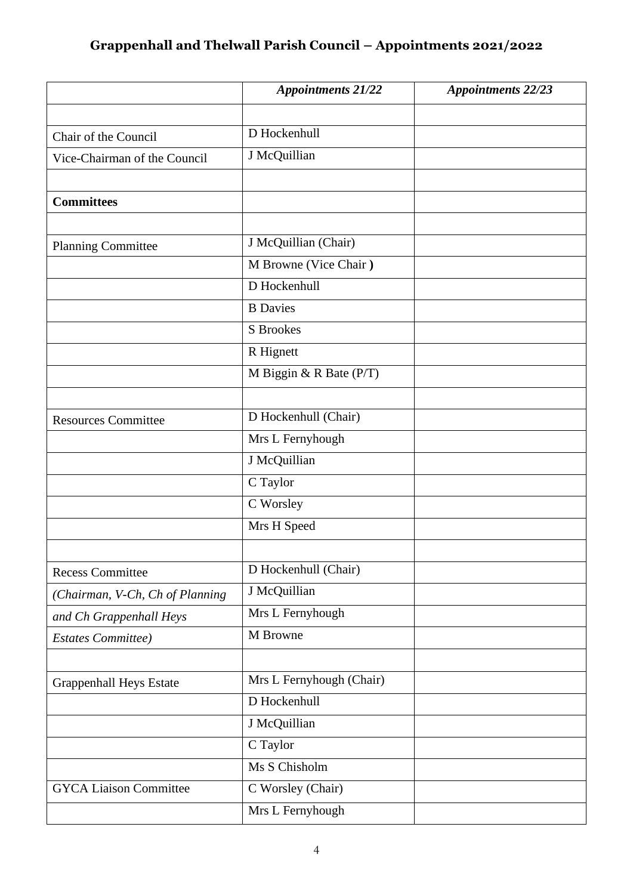# **Grappenhall and Thelwall Parish Council – Appointments 2021/2022**

|                                 | <b>Appointments 21/22</b> | <b>Appointments 22/23</b> |
|---------------------------------|---------------------------|---------------------------|
|                                 |                           |                           |
| Chair of the Council            | D Hockenhull              |                           |
| Vice-Chairman of the Council    | J McQuillian              |                           |
|                                 |                           |                           |
| <b>Committees</b>               |                           |                           |
|                                 |                           |                           |
| <b>Planning Committee</b>       | J McQuillian (Chair)      |                           |
|                                 | M Browne (Vice Chair)     |                           |
|                                 | D Hockenhull              |                           |
|                                 | <b>B</b> Davies           |                           |
|                                 | <b>S</b> Brookes          |                           |
|                                 | R Hignett                 |                           |
|                                 | M Biggin & R Bate $(P/T)$ |                           |
|                                 |                           |                           |
| <b>Resources Committee</b>      | D Hockenhull (Chair)      |                           |
|                                 | Mrs L Fernyhough          |                           |
|                                 | J McQuillian              |                           |
|                                 | C Taylor                  |                           |
|                                 | C Worsley                 |                           |
|                                 | Mrs H Speed               |                           |
|                                 |                           |                           |
| <b>Recess Committee</b>         | D Hockenhull (Chair)      |                           |
| (Chairman, V-Ch, Ch of Planning | J McQuillian              |                           |
| and Ch Grappenhall Heys         | Mrs L Fernyhough          |                           |
| <b>Estates Committee</b> )      | M Browne                  |                           |
|                                 |                           |                           |
| <b>Grappenhall Heys Estate</b>  | Mrs L Fernyhough (Chair)  |                           |
|                                 | D Hockenhull              |                           |
|                                 | J McQuillian              |                           |
|                                 | C Taylor                  |                           |
|                                 | Ms S Chisholm             |                           |
| <b>GYCA Liaison Committee</b>   | C Worsley (Chair)         |                           |
|                                 | Mrs L Fernyhough          |                           |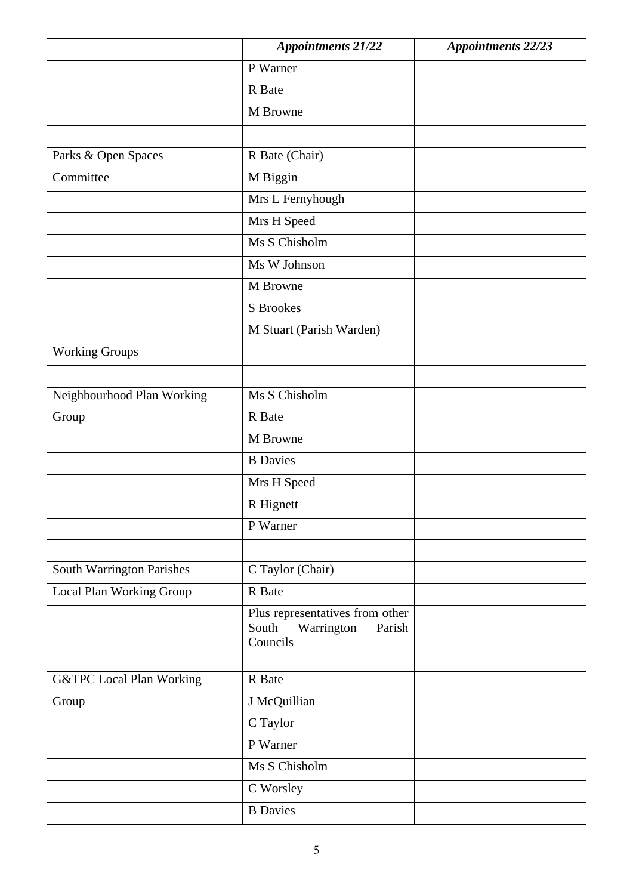|                                     | <b>Appointments 21/22</b>                                                    | <b>Appointments 22/23</b> |
|-------------------------------------|------------------------------------------------------------------------------|---------------------------|
|                                     | P Warner                                                                     |                           |
|                                     | R Bate                                                                       |                           |
|                                     | M Browne                                                                     |                           |
|                                     |                                                                              |                           |
| Parks & Open Spaces                 | R Bate (Chair)                                                               |                           |
| Committee                           | M Biggin                                                                     |                           |
|                                     | Mrs L Fernyhough                                                             |                           |
|                                     | Mrs H Speed                                                                  |                           |
|                                     | Ms S Chisholm                                                                |                           |
|                                     | Ms W Johnson                                                                 |                           |
|                                     | M Browne                                                                     |                           |
|                                     | S Brookes                                                                    |                           |
|                                     | M Stuart (Parish Warden)                                                     |                           |
| <b>Working Groups</b>               |                                                                              |                           |
|                                     |                                                                              |                           |
| Neighbourhood Plan Working          | Ms S Chisholm                                                                |                           |
| Group                               | R Bate                                                                       |                           |
|                                     | M Browne                                                                     |                           |
|                                     | <b>B</b> Davies                                                              |                           |
|                                     | Mrs H Speed                                                                  |                           |
|                                     | R Hignett                                                                    |                           |
|                                     | P Warner                                                                     |                           |
|                                     |                                                                              |                           |
| South Warrington Parishes           | C Taylor (Chair)                                                             |                           |
| Local Plan Working Group            | R Bate                                                                       |                           |
|                                     | Plus representatives from other<br>South<br>Warrington<br>Parish<br>Councils |                           |
|                                     |                                                                              |                           |
| <b>G&amp;TPC</b> Local Plan Working | R Bate                                                                       |                           |
| Group                               | J McQuillian                                                                 |                           |
|                                     | C Taylor                                                                     |                           |
|                                     | P Warner                                                                     |                           |
|                                     | Ms S Chisholm                                                                |                           |
|                                     | C Worsley                                                                    |                           |
|                                     | <b>B</b> Davies                                                              |                           |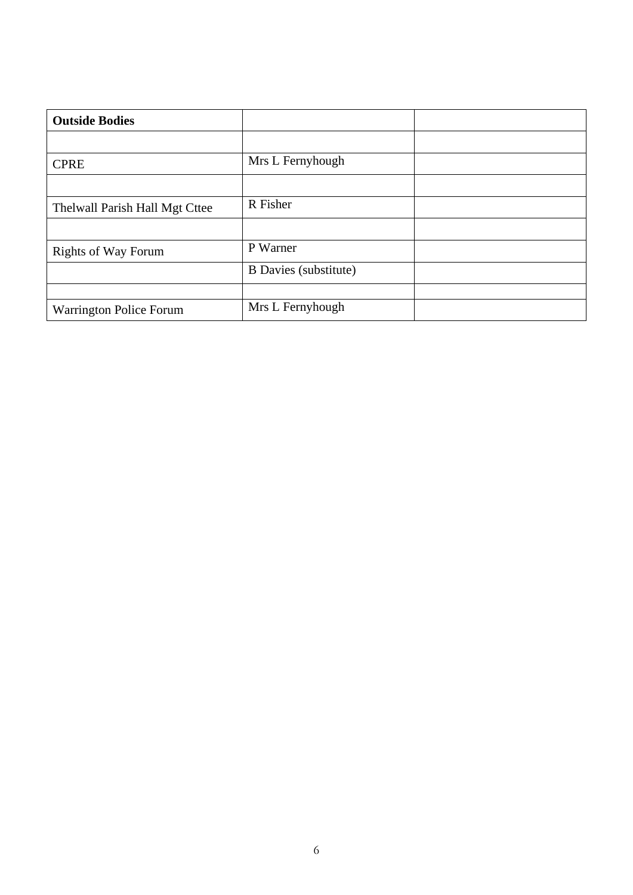| <b>Outside Bodies</b>          |                       |  |
|--------------------------------|-----------------------|--|
|                                |                       |  |
| <b>CPRE</b>                    | Mrs L Fernyhough      |  |
|                                |                       |  |
| Thelwall Parish Hall Mgt Cttee | R Fisher              |  |
|                                |                       |  |
| <b>Rights of Way Forum</b>     | P Warner              |  |
|                                | B Davies (substitute) |  |
|                                |                       |  |
| <b>Warrington Police Forum</b> | Mrs L Fernyhough      |  |